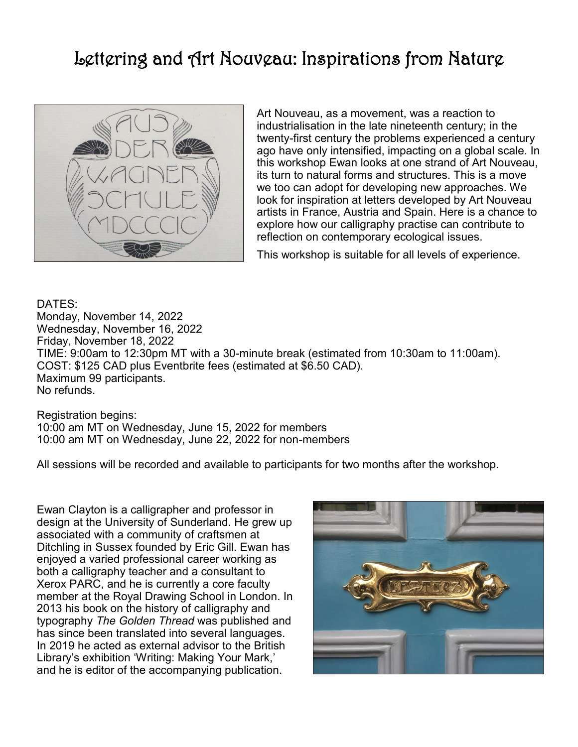## Lettering and Art Nouveau: Inspirations from Nature



Art Nouveau, as a movement, was a reaction to industrialisation in the late nineteenth century; in the twenty-first century the problems experienced a century ago have only intensified, impacting on a global scale. In this workshop Ewan looks at one strand of Art Nouveau, its turn to natural forms and structures. This is a move we too can adopt for developing new approaches. We look for inspiration at letters developed by Art Nouveau artists in France, Austria and Spain. Here is a chance to explore how our calligraphy practise can contribute to reflection on contemporary ecological issues.

This workshop is suitable for all levels of experience.

DATES: Monday, November 14, 2022 Wednesday, November 16, 2022 Friday, November 18, 2022 TIME: 9:00am to 12:30pm MT with a 30-minute break (estimated from 10:30am to 11:00am). COST: \$125 CAD plus Eventbrite fees (estimated at \$6.50 CAD). Maximum 99 participants. No refunds.

Registration begins: 10:00 am MT on Wednesday, June 15, 2022 for members 10:00 am MT on Wednesday, June 22, 2022 for non-members

All sessions will be recorded and available to participants for two months after the workshop.

Ewan Clayton is a calligrapher and professor in design at the University of Sunderland. He grew up associated with a community of craftsmen at Ditchling in Sussex founded by Eric Gill. Ewan has enjoyed a varied professional career working as both a calligraphy teacher and a consultant to Xerox PARC, and he is currently a core faculty member at the Royal Drawing School in London. In 2013 his book on the history of calligraphy and typography *The Golden Thread* was published and has since been translated into several languages. In 2019 he acted as external advisor to the British Library's exhibition 'Writing: Making Your Mark,' and he is editor of the accompanying publication.